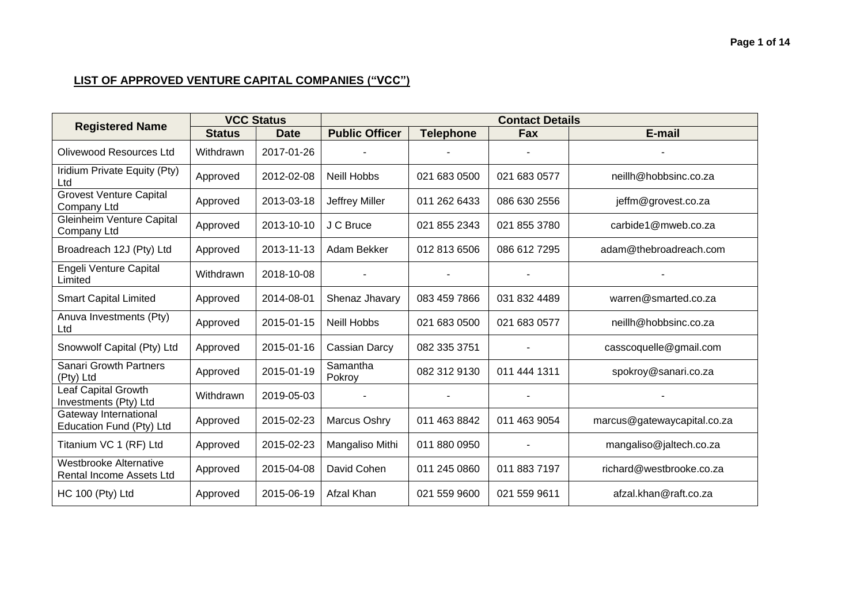|                                                     | <b>VCC Status</b> |             | <b>Contact Details</b> |                  |              |                             |  |
|-----------------------------------------------------|-------------------|-------------|------------------------|------------------|--------------|-----------------------------|--|
| <b>Registered Name</b>                              | <b>Status</b>     | <b>Date</b> | <b>Public Officer</b>  | <b>Telephone</b> | Fax          | E-mail                      |  |
| Olivewood Resources Ltd                             | Withdrawn         | 2017-01-26  |                        |                  |              |                             |  |
| Iridium Private Equity (Pty)<br>Ltd                 | Approved          | 2012-02-08  | <b>Neill Hobbs</b>     | 021 683 0500     | 021 683 0577 | neillh@hobbsinc.co.za       |  |
| <b>Grovest Venture Capital</b><br>Company Ltd       | Approved          | 2013-03-18  | Jeffrey Miller         | 011 262 6433     | 086 630 2556 | jeffm@grovest.co.za         |  |
| <b>Gleinheim Venture Capital</b><br>Company Ltd     | Approved          | 2013-10-10  | J C Bruce              | 021 855 2343     | 021 855 3780 | carbide1@mweb.co.za         |  |
| Broadreach 12J (Pty) Ltd                            | Approved          | 2013-11-13  | Adam Bekker            | 012 813 6506     | 086 612 7295 | adam@thebroadreach.com      |  |
| Engeli Venture Capital<br>Limited                   | Withdrawn         | 2018-10-08  |                        |                  |              |                             |  |
| <b>Smart Capital Limited</b>                        | Approved          | 2014-08-01  | Shenaz Jhavary         | 083 459 7866     | 031 832 4489 | warren@smarted.co.za        |  |
| Anuva Investments (Pty)<br>Ltd                      | Approved          | 2015-01-15  | <b>Neill Hobbs</b>     | 021 683 0500     | 021 683 0577 | neillh@hobbsinc.co.za       |  |
| Snowwolf Capital (Pty) Ltd                          | Approved          | 2015-01-16  | Cassian Darcy          | 082 335 3751     | ۰            | casscoquelle@gmail.com      |  |
| <b>Sanari Growth Partners</b><br>(Pty) Ltd          | Approved          | 2015-01-19  | Samantha<br>Pokroy     | 082 312 9130     | 011 444 1311 | spokroy@sanari.co.za        |  |
| <b>Leaf Capital Growth</b><br>Investments (Pty) Ltd | Withdrawn         | 2019-05-03  |                        |                  |              |                             |  |
| Gateway International<br>Education Fund (Pty) Ltd   | Approved          | 2015-02-23  | Marcus Oshry           | 011 463 8842     | 011 463 9054 | marcus@gatewaycapital.co.za |  |
| Titanium VC 1 (RF) Ltd                              | Approved          | 2015-02-23  | Mangaliso Mithi        | 011 880 0950     |              | mangaliso@jaltech.co.za     |  |
| Westbrooke Alternative<br>Rental Income Assets Ltd  | Approved          | 2015-04-08  | David Cohen            | 011 245 0860     | 011 883 7197 | richard@westbrooke.co.za    |  |
| HC 100 (Pty) Ltd                                    | Approved          | 2015-06-19  | Afzal Khan             | 021 559 9600     | 021 559 9611 | afzal.khan@raft.co.za       |  |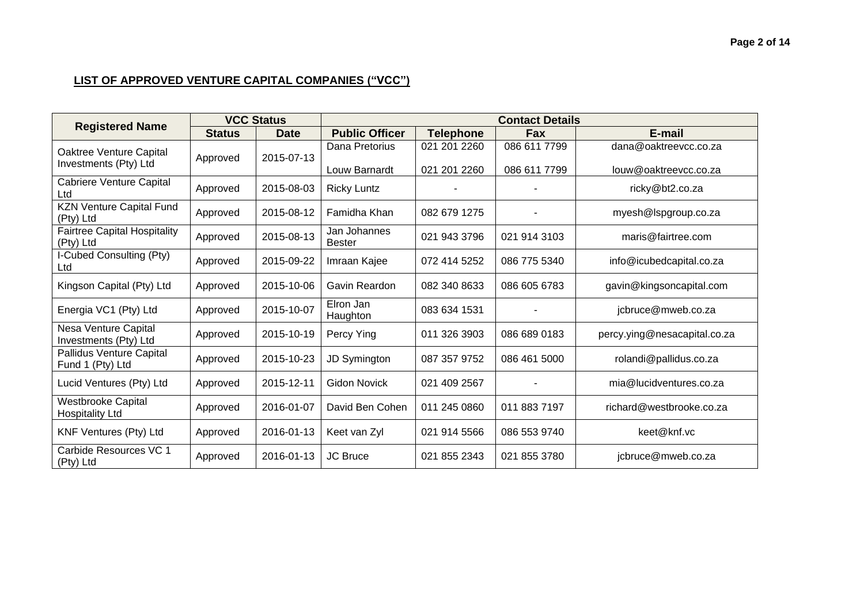|                                                     |               | <b>VCC Status</b> | <b>Contact Details</b>          |                              |                              |                                                |  |
|-----------------------------------------------------|---------------|-------------------|---------------------------------|------------------------------|------------------------------|------------------------------------------------|--|
| <b>Registered Name</b>                              | <b>Status</b> | <b>Date</b>       | <b>Public Officer</b>           | <b>Telephone</b>             | <b>Fax</b>                   | E-mail                                         |  |
| Oaktree Venture Capital<br>Investments (Pty) Ltd    | Approved      | 2015-07-13        | Dana Pretorius<br>Louw Barnardt | 021 201 2260<br>021 201 2260 | 086 611 7799<br>086 611 7799 | dana@oaktreevcc.co.za<br>louw@oaktreevcc.co.za |  |
| Cabriere Venture Capital<br>Ltd                     | Approved      | 2015-08-03        | <b>Ricky Luntz</b>              |                              |                              | ricky@bt2.co.za                                |  |
| <b>KZN Venture Capital Fund</b><br>(Pty) Ltd        | Approved      | 2015-08-12        | Famidha Khan                    | 082 679 1275                 |                              | myesh@lspgroup.co.za                           |  |
| <b>Fairtree Capital Hospitality</b><br>(Pty) Ltd    | Approved      | 2015-08-13        | Jan Johannes<br><b>Bester</b>   | 021 943 3796                 | 021 914 3103                 | maris@fairtree.com                             |  |
| I-Cubed Consulting (Pty)<br>Ltd                     | Approved      | 2015-09-22        | Imraan Kajee                    | 072 414 5252                 | 086 775 5340                 | info@icubedcapital.co.za                       |  |
| Kingson Capital (Pty) Ltd                           | Approved      | 2015-10-06        | Gavin Reardon                   | 082 340 8633                 | 086 605 6783                 | gavin@kingsoncapital.com                       |  |
| Energia VC1 (Pty) Ltd                               | Approved      | 2015-10-07        | Elron Jan<br>Haughton           | 083 634 1531                 |                              | jcbruce@mweb.co.za                             |  |
| Nesa Venture Capital<br>Investments (Pty) Ltd       | Approved      | 2015-10-19        | Percy Ying                      | 011 326 3903                 | 086 689 0183                 | percy.ying@nesacapital.co.za                   |  |
| Pallidus Venture Capital<br>Fund 1 (Pty) Ltd        | Approved      | 2015-10-23        | <b>JD Symington</b>             | 087 357 9752                 | 086 461 5000                 | rolandi@pallidus.co.za                         |  |
| Lucid Ventures (Pty) Ltd                            | Approved      | 2015-12-11        | <b>Gidon Novick</b>             | 021 409 2567                 |                              | mia@lucidventures.co.za                        |  |
| <b>Westbrooke Capital</b><br><b>Hospitality Ltd</b> | Approved      | 2016-01-07        | David Ben Cohen                 | 011 245 0860                 | 011 883 7197                 | richard@westbrooke.co.za                       |  |
| KNF Ventures (Pty) Ltd                              | Approved      | 2016-01-13        | Keet van Zyl                    | 021 914 5566                 | 086 553 9740                 | keet@knf.vc                                    |  |
| Carbide Resources VC 1<br>(Pty) Ltd                 | Approved      | 2016-01-13        | <b>JC Bruce</b>                 | 021 855 2343                 | 021 855 3780                 | jcbruce@mweb.co.za                             |  |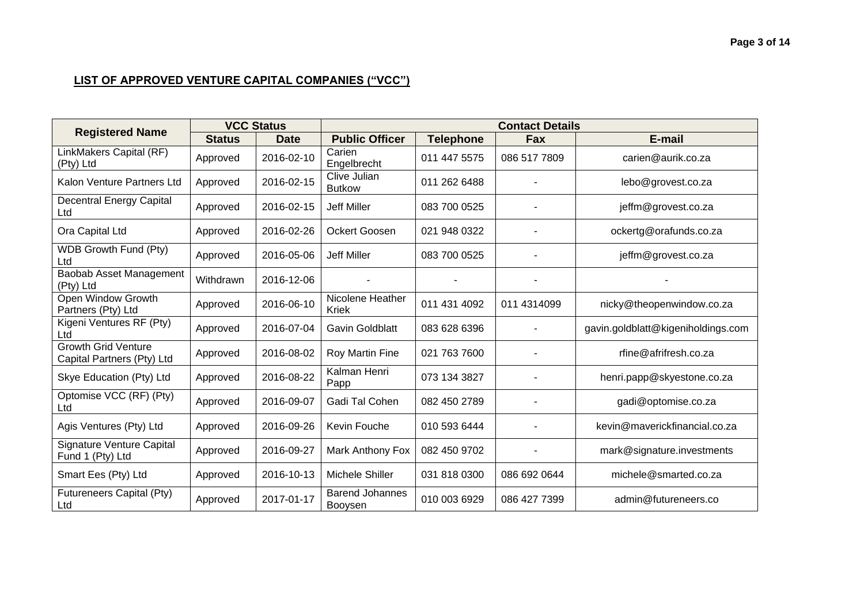|                                                          | <b>VCC Status</b> |             | <b>Contact Details</b>            |                  |              |                                    |  |
|----------------------------------------------------------|-------------------|-------------|-----------------------------------|------------------|--------------|------------------------------------|--|
| <b>Registered Name</b>                                   | <b>Status</b>     | <b>Date</b> | <b>Public Officer</b>             | <b>Telephone</b> | <b>Fax</b>   | E-mail                             |  |
| LinkMakers Capital (RF)<br>(Pty) Ltd                     | Approved          | 2016-02-10  | Carien<br>Engelbrecht             | 011 447 5575     | 086 517 7809 | carien@aurik.co.za                 |  |
| Kalon Venture Partners Ltd                               | Approved          | 2016-02-15  | Clive Julian<br><b>Butkow</b>     | 011 262 6488     |              | lebo@grovest.co.za                 |  |
| <b>Decentral Energy Capital</b><br>Ltd                   | Approved          | 2016-02-15  | <b>Jeff Miller</b>                | 083 700 0525     |              | jeffm@grovest.co.za                |  |
| Ora Capital Ltd                                          | Approved          | 2016-02-26  | Ockert Goosen                     | 021 948 0322     |              | ockertg@orafunds.co.za             |  |
| WDB Growth Fund (Pty)<br>Ltd                             | Approved          | 2016-05-06  | <b>Jeff Miller</b>                | 083 700 0525     |              | jeffm@grovest.co.za                |  |
| Baobab Asset Management<br>(Pty) Ltd                     | Withdrawn         | 2016-12-06  |                                   |                  | ٠            |                                    |  |
| Open Window Growth<br>Partners (Pty) Ltd                 | Approved          | 2016-06-10  | Nicolene Heather<br><b>Kriek</b>  | 011 431 4092     | 011 4314099  | nicky@theopenwindow.co.za          |  |
| Kigeni Ventures RF (Pty)<br>Ltd                          | Approved          | 2016-07-04  | <b>Gavin Goldblatt</b>            | 083 628 6396     |              | gavin.goldblatt@kigeniholdings.com |  |
| <b>Growth Grid Venture</b><br>Capital Partners (Pty) Ltd | Approved          | 2016-08-02  | Roy Martin Fine                   | 021 763 7600     |              | rfine@afrifresh.co.za              |  |
| Skye Education (Pty) Ltd                                 | Approved          | 2016-08-22  | Kalman Henri<br>Papp              | 073 134 3827     |              | henri.papp@skyestone.co.za         |  |
| Optomise VCC (RF) (Pty)<br>Ltd                           | Approved          | 2016-09-07  | Gadi Tal Cohen                    | 082 450 2789     |              | gadi@optomise.co.za                |  |
| Agis Ventures (Pty) Ltd                                  | Approved          | 2016-09-26  | Kevin Fouche                      | 010 593 6444     |              | kevin@maverickfinancial.co.za      |  |
| <b>Signature Venture Capital</b><br>Fund 1 (Pty) Ltd     | Approved          | 2016-09-27  | Mark Anthony Fox                  | 082 450 9702     |              | mark@signature.investments         |  |
| Smart Ees (Pty) Ltd                                      | Approved          | 2016-10-13  | Michele Shiller                   | 031 818 0300     | 086 692 0644 | michele@smarted.co.za              |  |
| Futureneers Capital (Pty)<br>Ltd                         | Approved          | 2017-01-17  | <b>Barend Johannes</b><br>Booysen | 010 003 6929     | 086 427 7399 | admin@futureneers.co               |  |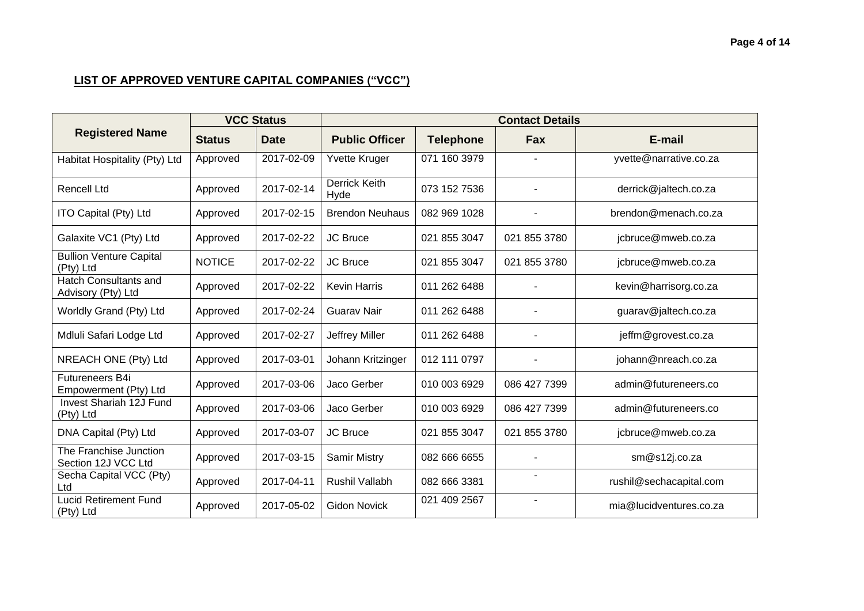|                                                    | <b>VCC Status</b> |             | <b>Contact Details</b>       |                  |              |                         |  |
|----------------------------------------------------|-------------------|-------------|------------------------------|------------------|--------------|-------------------------|--|
| <b>Registered Name</b>                             | <b>Status</b>     | <b>Date</b> | <b>Public Officer</b>        | <b>Telephone</b> | Fax          | E-mail                  |  |
| Habitat Hospitality (Pty) Ltd                      | Approved          | 2017-02-09  | Yvette Kruger                | 071 160 3979     |              | yvette@narrative.co.za  |  |
| <b>Rencell Ltd</b>                                 | Approved          | 2017-02-14  | <b>Derrick Keith</b><br>Hyde | 073 152 7536     |              | derrick@jaltech.co.za   |  |
| ITO Capital (Pty) Ltd                              | Approved          | 2017-02-15  | <b>Brendon Neuhaus</b>       | 082 969 1028     |              | brendon@menach.co.za    |  |
| Galaxite VC1 (Pty) Ltd                             | Approved          | 2017-02-22  | JC Bruce                     | 021 855 3047     | 021 855 3780 | jcbruce@mweb.co.za      |  |
| <b>Bullion Venture Capital</b><br>(Pty) Ltd        | <b>NOTICE</b>     | 2017-02-22  | <b>JC Bruce</b>              | 021 855 3047     | 021 855 3780 | jcbruce@mweb.co.za      |  |
| <b>Hatch Consultants and</b><br>Advisory (Pty) Ltd | Approved          | 2017-02-22  | <b>Kevin Harris</b>          | 011 262 6488     |              | kevin@harrisorg.co.za   |  |
| Worldly Grand (Pty) Ltd                            | Approved          | 2017-02-24  | <b>Guarav Nair</b>           | 011 262 6488     |              | guarav@jaltech.co.za    |  |
| Mdluli Safari Lodge Ltd                            | Approved          | 2017-02-27  | Jeffrey Miller               | 011 262 6488     |              | jeffm@grovest.co.za     |  |
| NREACH ONE (Pty) Ltd                               | Approved          | 2017-03-01  | Johann Kritzinger            | 012 111 0797     |              | johann@nreach.co.za     |  |
| Futureneers B4i<br>Empowerment (Pty) Ltd           | Approved          | 2017-03-06  | Jaco Gerber                  | 010 003 6929     | 086 427 7399 | admin@futureneers.co    |  |
| Invest Shariah 12J Fund<br>(Pty) Ltd               | Approved          | 2017-03-06  | Jaco Gerber                  | 010 003 6929     | 086 427 7399 | admin@futureneers.co    |  |
| DNA Capital (Pty) Ltd                              | Approved          | 2017-03-07  | JC Bruce                     | 021 855 3047     | 021 855 3780 | jcbruce@mweb.co.za      |  |
| The Franchise Junction<br>Section 12J VCC Ltd      | Approved          | 2017-03-15  | Samir Mistry                 | 082 666 6655     |              | sm@s12j.co.za           |  |
| Secha Capital VCC (Pty)<br>Ltd                     | Approved          | 2017-04-11  | <b>Rushil Vallabh</b>        | 082 666 3381     |              | rushil@sechacapital.com |  |
| <b>Lucid Retirement Fund</b><br>(Pty) Ltd          | Approved          | 2017-05-02  | <b>Gidon Novick</b>          | 021 409 2567     | ٠            | mia@lucidventures.co.za |  |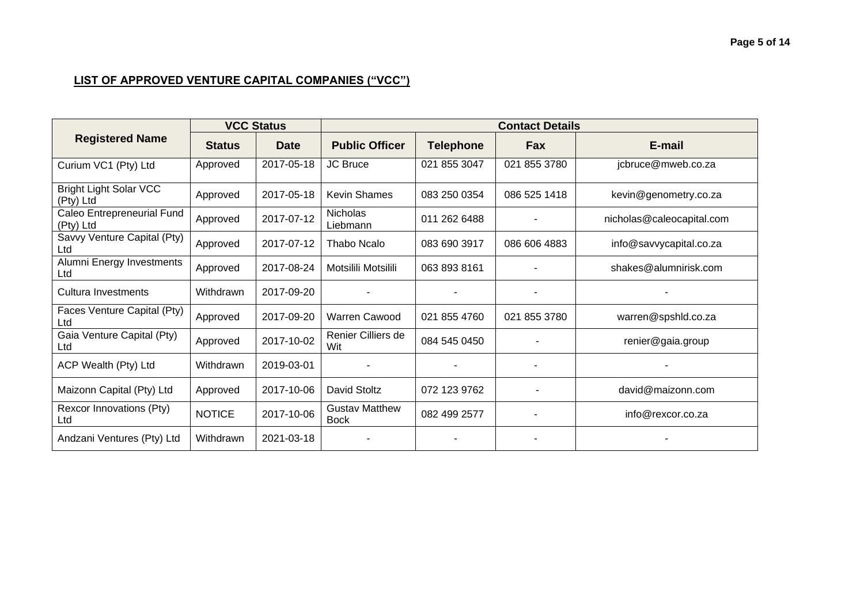|                                            | <b>VCC Status</b> |             | <b>Contact Details</b>               |                  |              |                           |  |
|--------------------------------------------|-------------------|-------------|--------------------------------------|------------------|--------------|---------------------------|--|
| <b>Registered Name</b>                     | <b>Status</b>     | <b>Date</b> | <b>Public Officer</b>                | <b>Telephone</b> | Fax          | E-mail                    |  |
| Curium VC1 (Pty) Ltd                       | Approved          | 2017-05-18  | <b>JC Bruce</b>                      | 021 855 3047     | 021 855 3780 | jcbruce@mweb.co.za        |  |
| <b>Bright Light Solar VCC</b><br>(Pty) Ltd | Approved          | 2017-05-18  | <b>Kevin Shames</b>                  | 083 250 0354     | 086 525 1418 | kevin@genometry.co.za     |  |
| Caleo Entrepreneurial Fund<br>(Pty) Ltd    | Approved          | 2017-07-12  | Nicholas<br>Liebmann                 | 011 262 6488     |              | nicholas@caleocapital.com |  |
| Savvy Venture Capital (Pty)<br>Ltd         | Approved          | 2017-07-12  | Thabo Ncalo                          | 083 690 3917     | 086 606 4883 | info@savvycapital.co.za   |  |
| Alumni Energy Investments<br>Ltd           | Approved          | 2017-08-24  | Motsilili Motsilili                  | 063 893 8161     |              | shakes@alumnirisk.com     |  |
| Cultura Investments                        | Withdrawn         | 2017-09-20  |                                      |                  |              |                           |  |
| Faces Venture Capital (Pty)<br>Ltd         | Approved          | 2017-09-20  | Warren Cawood                        | 021 855 4760     | 021 855 3780 | warren@spshld.co.za       |  |
| Gaia Venture Capital (Pty)<br>Ltd          | Approved          | 2017-10-02  | Renier Cilliers de<br>Wit            | 084 545 0450     |              | renier@gaia.group         |  |
| ACP Wealth (Pty) Ltd                       | Withdrawn         | 2019-03-01  |                                      |                  |              |                           |  |
| Maizonn Capital (Pty) Ltd                  | Approved          | 2017-10-06  | David Stoltz                         | 072 123 9762     |              | david@maizonn.com         |  |
| Rexcor Innovations (Pty)<br>Ltd            | <b>NOTICE</b>     | 2017-10-06  | <b>Gustav Matthew</b><br><b>Bock</b> | 082 499 2577     |              | info@rexcor.co.za         |  |
| Andzani Ventures (Pty) Ltd                 | Withdrawn         | 2021-03-18  |                                      |                  |              |                           |  |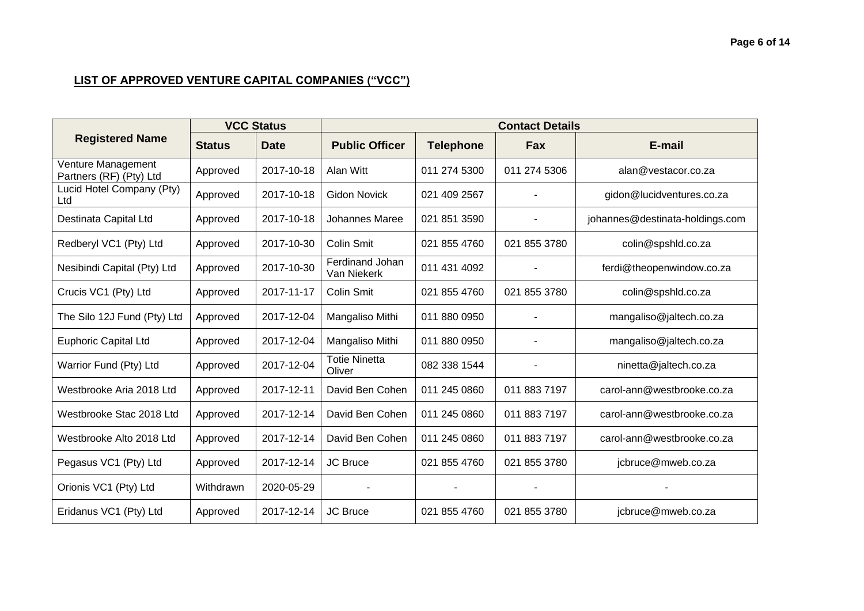#### **Page 6 of 14**

|                                               | <b>VCC Status</b> |             | <b>Contact Details</b>         |                  |              |                                 |  |
|-----------------------------------------------|-------------------|-------------|--------------------------------|------------------|--------------|---------------------------------|--|
| <b>Registered Name</b>                        | <b>Status</b>     | <b>Date</b> | <b>Public Officer</b>          | <b>Telephone</b> | Fax          | E-mail                          |  |
| Venture Management<br>Partners (RF) (Pty) Ltd | Approved          | 2017-10-18  | Alan Witt                      | 011 274 5300     | 011 274 5306 | alan@vestacor.co.za             |  |
| Lucid Hotel Company (Pty)<br>Ltd              | Approved          | 2017-10-18  | <b>Gidon Novick</b>            | 021 409 2567     |              | gidon@lucidventures.co.za       |  |
| Destinata Capital Ltd                         | Approved          | 2017-10-18  | Johannes Maree                 | 021 851 3590     |              | johannes@destinata-holdings.com |  |
| Redberyl VC1 (Pty) Ltd                        | Approved          | 2017-10-30  | Colin Smit                     | 021 855 4760     | 021 855 3780 | colin@spshld.co.za              |  |
| Nesibindi Capital (Pty) Ltd                   | Approved          | 2017-10-30  | Ferdinand Johan<br>Van Niekerk | 011 431 4092     |              | ferdi@theopenwindow.co.za       |  |
| Crucis VC1 (Pty) Ltd                          | Approved          | 2017-11-17  | <b>Colin Smit</b>              | 021 855 4760     | 021 855 3780 | colin@spshld.co.za              |  |
| The Silo 12J Fund (Pty) Ltd                   | Approved          | 2017-12-04  | Mangaliso Mithi                | 011 880 0950     |              | mangaliso@jaltech.co.za         |  |
| <b>Euphoric Capital Ltd</b>                   | Approved          | 2017-12-04  | Mangaliso Mithi                | 011 880 0950     |              | mangaliso@jaltech.co.za         |  |
| Warrior Fund (Pty) Ltd                        | Approved          | 2017-12-04  | <b>Totie Ninetta</b><br>Oliver | 082 338 1544     |              | ninetta@jaltech.co.za           |  |
| Westbrooke Aria 2018 Ltd                      | Approved          | 2017-12-11  | David Ben Cohen                | 011 245 0860     | 011 883 7197 | carol-ann@westbrooke.co.za      |  |
| Westbrooke Stac 2018 Ltd                      | Approved          | 2017-12-14  | David Ben Cohen                | 011 245 0860     | 011 883 7197 | carol-ann@westbrooke.co.za      |  |
| Westbrooke Alto 2018 Ltd                      | Approved          | 2017-12-14  | David Ben Cohen                | 011 245 0860     | 011 883 7197 | carol-ann@westbrooke.co.za      |  |
| Pegasus VC1 (Pty) Ltd                         | Approved          | 2017-12-14  | <b>JC Bruce</b>                | 021 855 4760     | 021 855 3780 | jcbruce@mweb.co.za              |  |
| Orionis VC1 (Pty) Ltd                         | Withdrawn         | 2020-05-29  |                                |                  |              |                                 |  |
| Eridanus VC1 (Pty) Ltd                        | Approved          | 2017-12-14  | <b>JC Bruce</b>                | 021 855 4760     | 021 855 3780 | jcbruce@mweb.co.za              |  |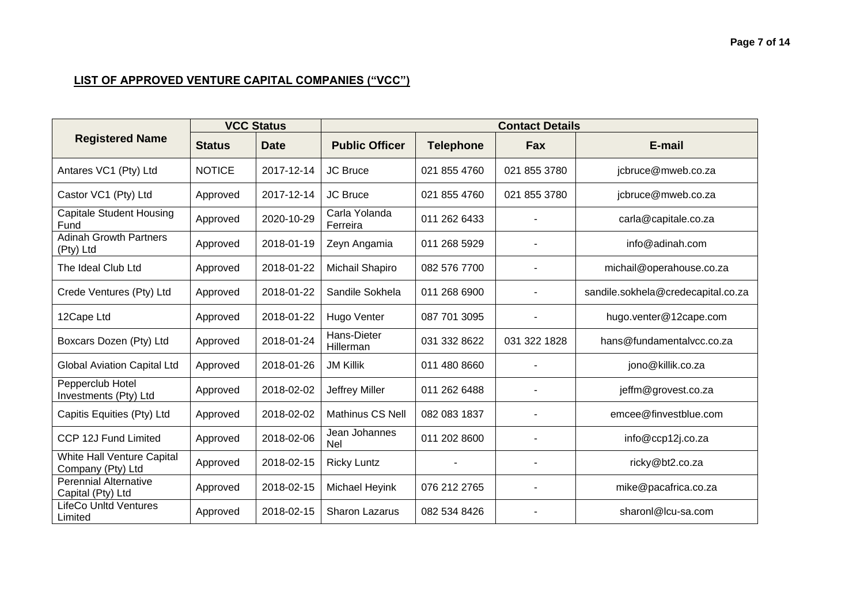# **Page 7 of 14**

|                                                   | <b>VCC Status</b> |             | <b>Contact Details</b>    |                  |              |                                    |  |
|---------------------------------------------------|-------------------|-------------|---------------------------|------------------|--------------|------------------------------------|--|
| <b>Registered Name</b>                            | <b>Status</b>     | <b>Date</b> | <b>Public Officer</b>     | <b>Telephone</b> | Fax          | E-mail                             |  |
| Antares VC1 (Pty) Ltd                             | <b>NOTICE</b>     | 2017-12-14  | <b>JC Bruce</b>           | 021 855 4760     | 021 855 3780 | jcbruce@mweb.co.za                 |  |
| Castor VC1 (Pty) Ltd                              | Approved          | 2017-12-14  | <b>JC Bruce</b>           | 021 855 4760     | 021 855 3780 | jcbruce@mweb.co.za                 |  |
| <b>Capitale Student Housing</b><br>Fund           | Approved          | 2020-10-29  | Carla Yolanda<br>Ferreira | 011 262 6433     |              | carla@capitale.co.za               |  |
| <b>Adinah Growth Partners</b><br>(Pty) Ltd        | Approved          | 2018-01-19  | Zeyn Angamia              | 011 268 5929     |              | info@adinah.com                    |  |
| The Ideal Club Ltd                                | Approved          | 2018-01-22  | Michail Shapiro           | 082 576 7700     |              | michail@operahouse.co.za           |  |
| Crede Ventures (Pty) Ltd                          | Approved          | 2018-01-22  | Sandile Sokhela           | 011 268 6900     |              | sandile.sokhela@credecapital.co.za |  |
| 12Cape Ltd                                        | Approved          | 2018-01-22  | Hugo Venter               | 087 701 3095     |              | hugo.venter@12cape.com             |  |
| Boxcars Dozen (Pty) Ltd                           | Approved          | 2018-01-24  | Hans-Dieter<br>Hillerman  | 031 332 8622     | 031 322 1828 | hans@fundamentalvcc.co.za          |  |
| <b>Global Aviation Capital Ltd</b>                | Approved          | 2018-01-26  | <b>JM Killik</b>          | 011 480 8660     |              | jono@killik.co.za                  |  |
| Pepperclub Hotel<br>Investments (Pty) Ltd         | Approved          | 2018-02-02  | Jeffrey Miller            | 011 262 6488     |              | jeffm@grovest.co.za                |  |
| Capitis Equities (Pty) Ltd                        | Approved          | 2018-02-02  | Mathinus CS Nell          | 082 083 1837     |              | emcee@finvestblue.com              |  |
| CCP 12J Fund Limited                              | Approved          | 2018-02-06  | Jean Johannes<br>Nel      | 011 202 8600     |              | info@ccp12j.co.za                  |  |
| White Hall Venture Capital<br>Company (Pty) Ltd   | Approved          | 2018-02-15  | <b>Ricky Luntz</b>        |                  |              | ricky@bt2.co.za                    |  |
| <b>Perennial Alternative</b><br>Capital (Pty) Ltd | Approved          | 2018-02-15  | Michael Heyink            | 076 212 2765     |              | mike@pacafrica.co.za               |  |
| <b>LifeCo Unltd Ventures</b><br>Limited           | Approved          | 2018-02-15  | <b>Sharon Lazarus</b>     | 082 534 8426     |              | sharonl@lcu-sa.com                 |  |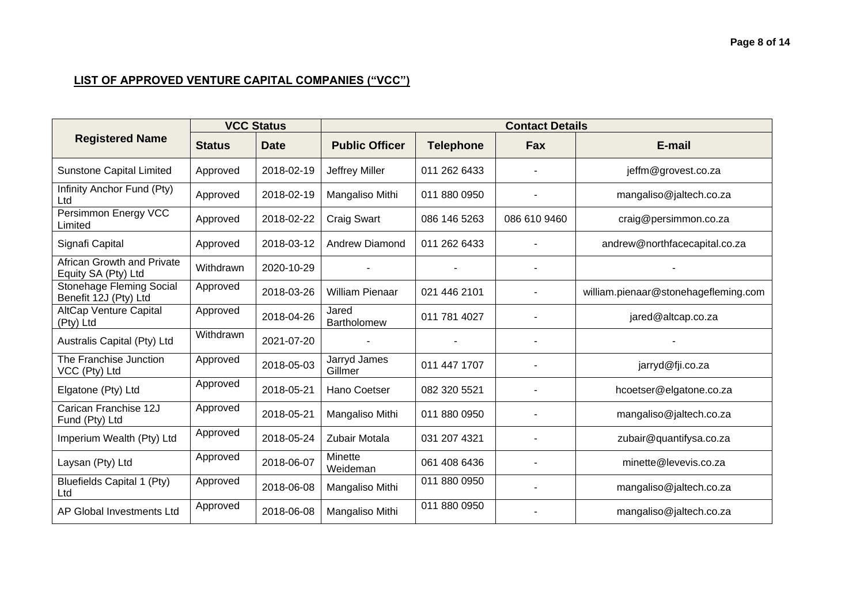|                                                          | <b>VCC Status</b> |             | <b>Contact Details</b>  |                  |              |                                      |  |
|----------------------------------------------------------|-------------------|-------------|-------------------------|------------------|--------------|--------------------------------------|--|
| <b>Registered Name</b>                                   | <b>Status</b>     | <b>Date</b> | <b>Public Officer</b>   | <b>Telephone</b> | <b>Fax</b>   | E-mail                               |  |
| <b>Sunstone Capital Limited</b>                          | Approved          | 2018-02-19  | <b>Jeffrey Miller</b>   | 011 262 6433     |              | jeffm@grovest.co.za                  |  |
| Infinity Anchor Fund (Pty)<br>Ltd                        | Approved          | 2018-02-19  | Mangaliso Mithi         | 011 880 0950     |              | mangaliso@jaltech.co.za              |  |
| Persimmon Energy VCC<br>Limited                          | Approved          | 2018-02-22  | <b>Craig Swart</b>      | 086 146 5263     | 086 610 9460 | craig@persimmon.co.za                |  |
| Signafi Capital                                          | Approved          | 2018-03-12  | <b>Andrew Diamond</b>   | 011 262 6433     |              | andrew@northfacecapital.co.za        |  |
| <b>African Growth and Private</b><br>Equity SA (Pty) Ltd | Withdrawn         | 2020-10-29  |                         |                  |              |                                      |  |
| Stonehage Fleming Social<br>Benefit 12J (Pty) Ltd        | Approved          | 2018-03-26  | <b>William Pienaar</b>  | 021 446 2101     |              | william.pienaar@stonehagefleming.com |  |
| <b>AltCap Venture Capital</b><br>(Pty) Ltd               | Approved          | 2018-04-26  | Jared<br>Bartholomew    | 011 781 4027     |              | jared@altcap.co.za                   |  |
| Australis Capital (Pty) Ltd                              | Withdrawn         | 2021-07-20  |                         |                  |              |                                      |  |
| The Franchise Junction<br>VCC (Pty) Ltd                  | Approved          | 2018-05-03  | Jarryd James<br>Gillmer | 011 447 1707     |              | jarryd@fji.co.za                     |  |
| Elgatone (Pty) Ltd                                       | Approved          | 2018-05-21  | Hano Coetser            | 082 320 5521     |              | hcoetser@elgatone.co.za              |  |
| Carican Franchise 12J<br>Fund (Pty) Ltd                  | Approved          | 2018-05-21  | Mangaliso Mithi         | 011 880 0950     |              | mangaliso@jaltech.co.za              |  |
| Imperium Wealth (Pty) Ltd                                | Approved          | 2018-05-24  | Zubair Motala           | 031 207 4321     |              | zubair@quantifysa.co.za              |  |
| Laysan (Pty) Ltd                                         | Approved          | 2018-06-07  | Minette<br>Weideman     | 061 408 6436     |              | minette@levevis.co.za                |  |
| Bluefields Capital 1 (Pty)<br>Ltd                        | Approved          | 2018-06-08  | Mangaliso Mithi         | 011 880 0950     |              | mangaliso@jaltech.co.za              |  |
| AP Global Investments Ltd                                | Approved          | 2018-06-08  | Mangaliso Mithi         | 011 880 0950     |              | mangaliso@jaltech.co.za              |  |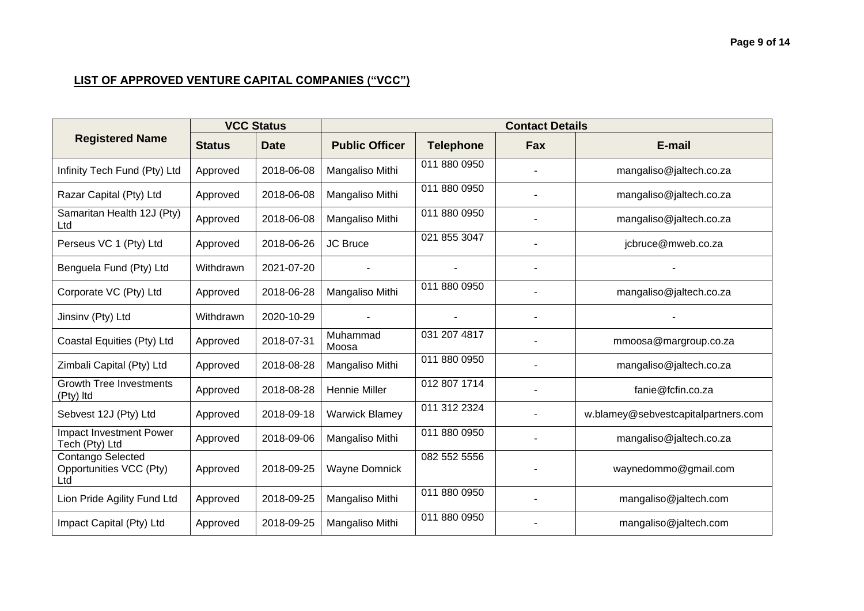|                                                     | <b>VCC Status</b> |             | <b>Contact Details</b> |                  |            |                                     |  |  |
|-----------------------------------------------------|-------------------|-------------|------------------------|------------------|------------|-------------------------------------|--|--|
| <b>Registered Name</b>                              | <b>Status</b>     | <b>Date</b> | <b>Public Officer</b>  | <b>Telephone</b> | <b>Fax</b> | E-mail                              |  |  |
| Infinity Tech Fund (Pty) Ltd                        | Approved          | 2018-06-08  | Mangaliso Mithi        | 011 880 0950     |            | mangaliso@jaltech.co.za             |  |  |
| Razar Capital (Pty) Ltd                             | Approved          | 2018-06-08  | Mangaliso Mithi        | 011 880 0950     |            | mangaliso@jaltech.co.za             |  |  |
| Samaritan Health 12J (Pty)<br>Ltd                   | Approved          | 2018-06-08  | Mangaliso Mithi        | 011 880 0950     |            | mangaliso@jaltech.co.za             |  |  |
| Perseus VC 1 (Pty) Ltd                              | Approved          | 2018-06-26  | <b>JC Bruce</b>        | 021 855 3047     |            | jcbruce@mweb.co.za                  |  |  |
| Benguela Fund (Pty) Ltd                             | Withdrawn         | 2021-07-20  |                        |                  |            |                                     |  |  |
| Corporate VC (Pty) Ltd                              | Approved          | 2018-06-28  | Mangaliso Mithi        | 011 880 0950     |            | mangaliso@jaltech.co.za             |  |  |
| Jinsinv (Pty) Ltd                                   | Withdrawn         | 2020-10-29  |                        |                  |            |                                     |  |  |
| Coastal Equities (Pty) Ltd                          | Approved          | 2018-07-31  | Muhammad<br>Moosa      | 031 207 4817     |            | mmoosa@margroup.co.za               |  |  |
| Zimbali Capital (Pty) Ltd                           | Approved          | 2018-08-28  | Mangaliso Mithi        | 011 880 0950     |            | mangaliso@jaltech.co.za             |  |  |
| <b>Growth Tree Investments</b><br>(Pty) Itd         | Approved          | 2018-08-28  | Hennie Miller          | 012 807 1714     |            | fanie@fcfin.co.za                   |  |  |
| Sebvest 12J (Pty) Ltd                               | Approved          | 2018-09-18  | <b>Warwick Blamey</b>  | 011 312 2324     |            | w.blamey@sebvestcapitalpartners.com |  |  |
| <b>Impact Investment Power</b><br>Tech (Pty) Ltd    | Approved          | 2018-09-06  | Mangaliso Mithi        | 011 880 0950     |            | mangaliso@jaltech.co.za             |  |  |
| Contango Selected<br>Opportunities VCC (Pty)<br>Ltd | Approved          | 2018-09-25  | <b>Wayne Domnick</b>   | 082 552 5556     |            | waynedommo@gmail.com                |  |  |
| Lion Pride Agility Fund Ltd                         | Approved          | 2018-09-25  | Mangaliso Mithi        | 011 880 0950     |            | mangaliso@jaltech.com               |  |  |
| Impact Capital (Pty) Ltd                            | Approved          | 2018-09-25  | Mangaliso Mithi        | 011 880 0950     |            | mangaliso@jaltech.com               |  |  |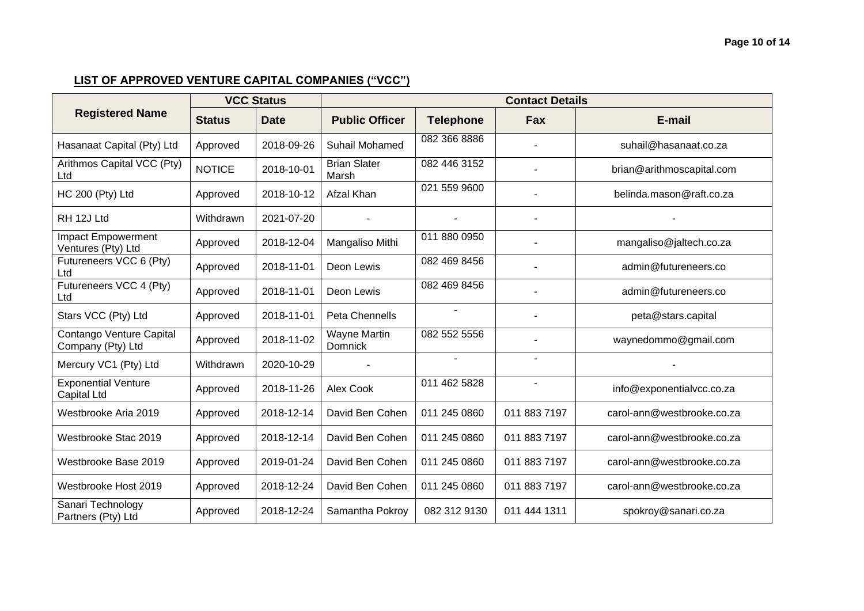#### **Page 10 of 14**

|                                                  | <b>VCC Status</b> |             | <b>Contact Details</b>                |                  |                |                            |  |  |
|--------------------------------------------------|-------------------|-------------|---------------------------------------|------------------|----------------|----------------------------|--|--|
| <b>Registered Name</b>                           | <b>Status</b>     | <b>Date</b> | <b>Public Officer</b>                 | <b>Telephone</b> | Fax            | E-mail                     |  |  |
| Hasanaat Capital (Pty) Ltd                       | Approved          | 2018-09-26  | Suhail Mohamed                        | 082 366 8886     |                | suhail@hasanaat.co.za      |  |  |
| Arithmos Capital VCC (Pty)<br>Ltd                | <b>NOTICE</b>     | 2018-10-01  | <b>Brian Slater</b><br>Marsh          | 082 446 3152     | ۰              | brian@arithmoscapital.com  |  |  |
| HC 200 (Pty) Ltd                                 | Approved          | 2018-10-12  | Afzal Khan                            | 021 559 9600     | ۰              | belinda.mason@raft.co.za   |  |  |
| RH 12J Ltd                                       | Withdrawn         | 2021-07-20  |                                       |                  | ۰              |                            |  |  |
| <b>Impact Empowerment</b><br>Ventures (Pty) Ltd  | Approved          | 2018-12-04  | Mangaliso Mithi                       | 011 880 0950     |                | mangaliso@jaltech.co.za    |  |  |
| Futureneers VCC 6 (Pty)<br>Ltd                   | Approved          | 2018-11-01  | Deon Lewis                            | 082 469 8456     | $\blacksquare$ | admin@futureneers.co       |  |  |
| Futureneers VCC 4 (Pty)<br>Ltd                   | Approved          | 2018-11-01  | Deon Lewis                            | 082 469 8456     | ۰              | admin@futureneers.co       |  |  |
| Stars VCC (Pty) Ltd                              | Approved          | 2018-11-01  | <b>Peta Chennells</b>                 |                  | ۰              | peta@stars.capital         |  |  |
| Contango Venture Capital<br>Company (Pty) Ltd    | Approved          | 2018-11-02  | <b>Wayne Martin</b><br><b>Domnick</b> | 082 552 5556     |                | waynedommo@gmail.com       |  |  |
| Mercury VC1 (Pty) Ltd                            | Withdrawn         | 2020-10-29  |                                       | $\blacksquare$   | ٠              |                            |  |  |
| <b>Exponential Venture</b><br><b>Capital Ltd</b> | Approved          | 2018-11-26  | Alex Cook                             | 011 462 5828     | $\blacksquare$ | info@exponentialvcc.co.za  |  |  |
| Westbrooke Aria 2019                             | Approved          | 2018-12-14  | David Ben Cohen                       | 011 245 0860     | 011 883 7197   | carol-ann@westbrooke.co.za |  |  |
| Westbrooke Stac 2019                             | Approved          | 2018-12-14  | David Ben Cohen                       | 011 245 0860     | 011 883 7197   | carol-ann@westbrooke.co.za |  |  |
| Westbrooke Base 2019                             | Approved          | 2019-01-24  | David Ben Cohen                       | 011 245 0860     | 011 883 7197   | carol-ann@westbrooke.co.za |  |  |
| Westbrooke Host 2019                             | Approved          | 2018-12-24  | David Ben Cohen                       | 011 245 0860     | 011 883 7197   | carol-ann@westbrooke.co.za |  |  |
| Sanari Technology<br>Partners (Pty) Ltd          | Approved          | 2018-12-24  | Samantha Pokroy                       | 082 312 9130     | 011 444 1311   | spokroy@sanari.co.za       |  |  |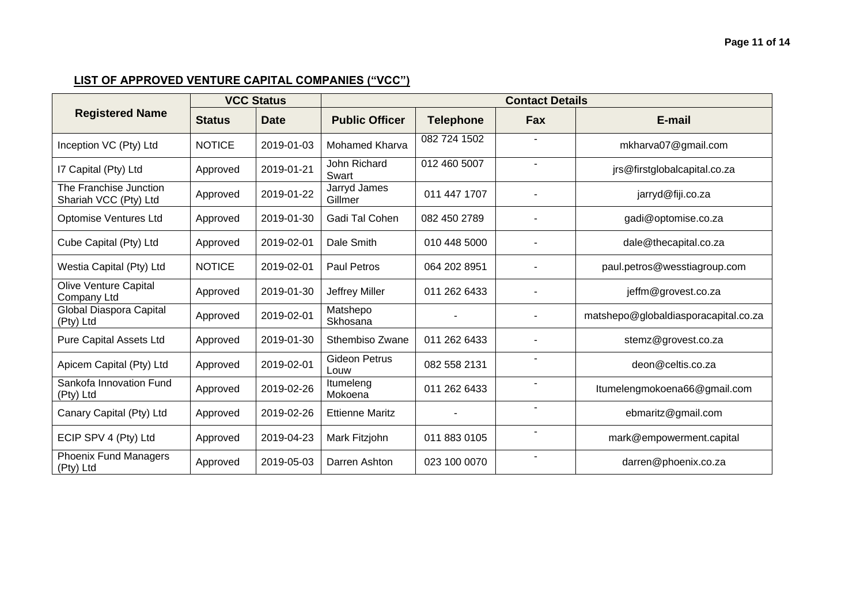|                                                 | <b>VCC Status</b> |             | <b>Contact Details</b>       |                  |                |                                      |  |  |
|-------------------------------------------------|-------------------|-------------|------------------------------|------------------|----------------|--------------------------------------|--|--|
| <b>Registered Name</b>                          | <b>Status</b>     | <b>Date</b> | <b>Public Officer</b>        | <b>Telephone</b> | <b>Fax</b>     | E-mail                               |  |  |
| Inception VC (Pty) Ltd                          | <b>NOTICE</b>     | 2019-01-03  | <b>Mohamed Kharva</b>        | 082 724 1502     |                | mkharva07@gmail.com                  |  |  |
| I7 Capital (Pty) Ltd                            | Approved          | 2019-01-21  | John Richard<br>Swart        | 012 460 5007     |                | jrs@firstglobalcapital.co.za         |  |  |
| The Franchise Junction<br>Shariah VCC (Pty) Ltd | Approved          | 2019-01-22  | Jarryd James<br>Gillmer      | 011 447 1707     |                | jarryd@fiji.co.za                    |  |  |
| Optomise Ventures Ltd                           | Approved          | 2019-01-30  | Gadi Tal Cohen               | 082 450 2789     |                | gadi@optomise.co.za                  |  |  |
| Cube Capital (Pty) Ltd                          | Approved          | 2019-02-01  | Dale Smith                   | 010 448 5000     |                | dale@thecapital.co.za                |  |  |
| Westia Capital (Pty) Ltd                        | <b>NOTICE</b>     | 2019-02-01  | <b>Paul Petros</b>           | 064 202 8951     |                | paul.petros@wesstiagroup.com         |  |  |
| <b>Olive Venture Capital</b><br>Company Ltd     | Approved          | 2019-01-30  | Jeffrey Miller               | 011 262 6433     |                | jeffm@grovest.co.za                  |  |  |
| Global Diaspora Capital<br>(Pty) Ltd            | Approved          | 2019-02-01  | Matshepo<br>Skhosana         |                  |                | matshepo@globaldiasporacapital.co.za |  |  |
| <b>Pure Capital Assets Ltd</b>                  | Approved          | 2019-01-30  | Sthembiso Zwane              | 011 262 6433     |                | stemz@grovest.co.za                  |  |  |
| Apicem Capital (Pty) Ltd                        | Approved          | 2019-02-01  | <b>Gideon Petrus</b><br>Louw | 082 558 2131     |                | deon@celtis.co.za                    |  |  |
| Sankofa Innovation Fund<br>(Pty) Ltd            | Approved          | 2019-02-26  | Itumeleng<br>Mokoena         | 011 262 6433     |                | Itumelengmokoena66@gmail.com         |  |  |
| Canary Capital (Pty) Ltd                        | Approved          | 2019-02-26  | <b>Ettienne Maritz</b>       |                  | $\blacksquare$ | ebmaritz@gmail.com                   |  |  |
| ECIP SPV 4 (Pty) Ltd                            | Approved          | 2019-04-23  | Mark Fitzjohn                | 011 883 0105     |                | mark@empowerment.capital             |  |  |
| <b>Phoenix Fund Managers</b><br>(Pty) Ltd       | Approved          | 2019-05-03  | Darren Ashton                | 023 100 0070     |                | darren@phoenix.co.za                 |  |  |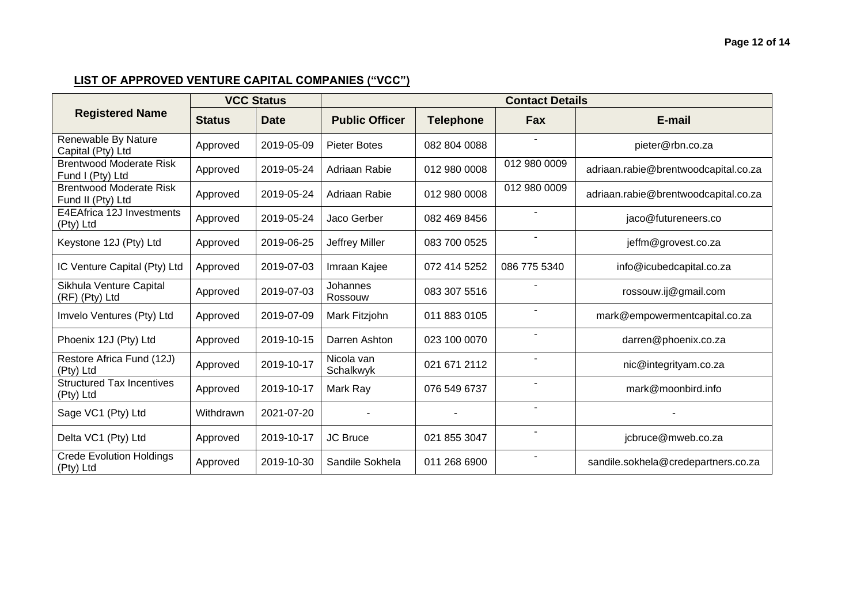|                                                     | <b>VCC Status</b> |             | <b>Contact Details</b>  |                  |                          |                                      |  |  |
|-----------------------------------------------------|-------------------|-------------|-------------------------|------------------|--------------------------|--------------------------------------|--|--|
| <b>Registered Name</b>                              | <b>Status</b>     | <b>Date</b> | <b>Public Officer</b>   | <b>Telephone</b> | Fax                      | E-mail                               |  |  |
| Renewable By Nature<br>Capital (Pty) Ltd            | Approved          | 2019-05-09  | <b>Pieter Botes</b>     | 082 804 0088     |                          | pieter@rbn.co.za                     |  |  |
| <b>Brentwood Moderate Risk</b><br>Fund I (Pty) Ltd  | Approved          | 2019-05-24  | Adriaan Rabie           | 012 980 0008     | 012 980 0009             | adriaan.rabie@brentwoodcapital.co.za |  |  |
| <b>Brentwood Moderate Risk</b><br>Fund II (Pty) Ltd | Approved          | 2019-05-24  | Adriaan Rabie           | 012 980 0008     | 012 980 0009             | adriaan.rabie@brentwoodcapital.co.za |  |  |
| E4EAfrica 12J Investments<br>(Pty) Ltd              | Approved          | 2019-05-24  | Jaco Gerber             | 082 469 8456     | ٠                        | jaco@futureneers.co                  |  |  |
| Keystone 12J (Pty) Ltd                              | Approved          | 2019-06-25  | Jeffrey Miller          | 083 700 0525     | $\overline{\phantom{a}}$ | jeffm@grovest.co.za                  |  |  |
| IC Venture Capital (Pty) Ltd                        | Approved          | 2019-07-03  | Imraan Kajee            | 072 414 5252     | 086 775 5340             | info@icubedcapital.co.za             |  |  |
| Sikhula Venture Capital<br>(RF) (Pty) Ltd           | Approved          | 2019-07-03  | Johannes<br>Rossouw     | 083 307 5516     |                          | rossouw.ij@gmail.com                 |  |  |
| Imvelo Ventures (Pty) Ltd                           | Approved          | 2019-07-09  | Mark Fitzjohn           | 011 883 0105     | $\overline{\phantom{a}}$ | mark@empowermentcapital.co.za        |  |  |
| Phoenix 12J (Pty) Ltd                               | Approved          | 2019-10-15  | Darren Ashton           | 023 100 0070     | ٠                        | darren@phoenix.co.za                 |  |  |
| Restore Africa Fund (12J)<br>(Pty) Ltd              | Approved          | 2019-10-17  | Nicola van<br>Schalkwyk | 021 671 2112     |                          | nic@integrityam.co.za                |  |  |
| <b>Structured Tax Incentives</b><br>(Pty) Ltd       | Approved          | 2019-10-17  | Mark Ray                | 076 549 6737     |                          | mark@moonbird.info                   |  |  |
| Sage VC1 (Pty) Ltd                                  | Withdrawn         | 2021-07-20  |                         |                  | $\blacksquare$           |                                      |  |  |
| Delta VC1 (Pty) Ltd                                 | Approved          | 2019-10-17  | <b>JC Bruce</b>         | 021 855 3047     | ٠                        | jcbruce@mweb.co.za                   |  |  |
| <b>Crede Evolution Holdings</b><br>(Pty) Ltd        | Approved          | 2019-10-30  | Sandile Sokhela         | 011 268 6900     |                          | sandile.sokhela@credepartners.co.za  |  |  |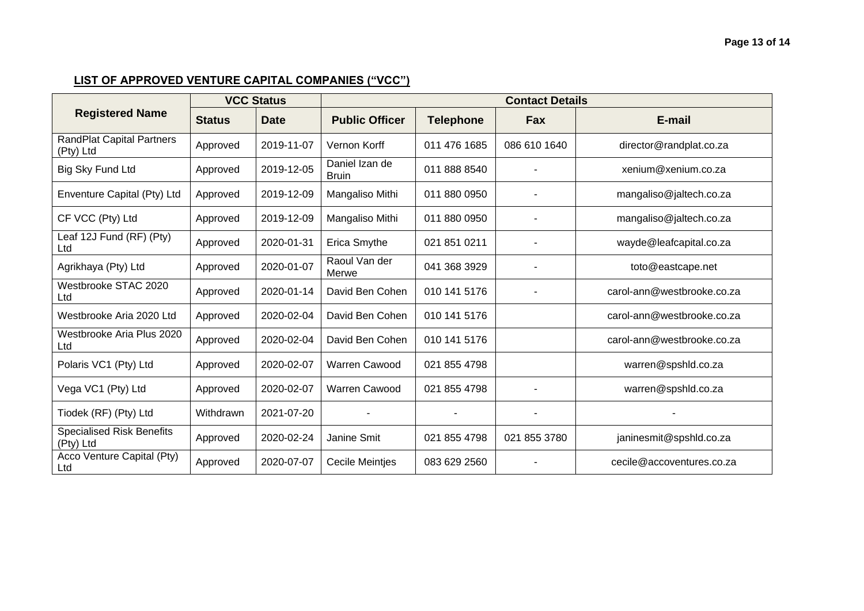| <b>Registered Name</b>                        | <b>VCC Status</b> |             | <b>Contact Details</b>         |                  |              |                            |  |
|-----------------------------------------------|-------------------|-------------|--------------------------------|------------------|--------------|----------------------------|--|
|                                               | <b>Status</b>     | <b>Date</b> | <b>Public Officer</b>          | <b>Telephone</b> | Fax          | E-mail                     |  |
| <b>RandPlat Capital Partners</b><br>(Pty) Ltd | Approved          | 2019-11-07  | Vernon Korff                   | 011 476 1685     | 086 610 1640 | director@randplat.co.za    |  |
| Big Sky Fund Ltd                              | Approved          | 2019-12-05  | Daniel Izan de<br><b>Bruin</b> | 011 888 8540     |              | xenium@xenium.co.za        |  |
| Enventure Capital (Pty) Ltd                   | Approved          | 2019-12-09  | Mangaliso Mithi                | 011 880 0950     |              | mangaliso@jaltech.co.za    |  |
| CF VCC (Pty) Ltd                              | Approved          | 2019-12-09  | Mangaliso Mithi                | 011 880 0950     |              | mangaliso@jaltech.co.za    |  |
| Leaf 12J Fund (RF) (Pty)<br>Ltd               | Approved          | 2020-01-31  | <b>Erica Smythe</b>            | 021 851 0211     |              | wayde@leafcapital.co.za    |  |
| Agrikhaya (Pty) Ltd                           | Approved          | 2020-01-07  | Raoul Van der<br>Merwe         | 041 368 3929     |              | toto@eastcape.net          |  |
| Westbrooke STAC 2020<br>Ltd                   | Approved          | 2020-01-14  | David Ben Cohen                | 010 141 5176     |              | carol-ann@westbrooke.co.za |  |
| Westbrooke Aria 2020 Ltd                      | Approved          | 2020-02-04  | David Ben Cohen                | 010 141 5176     |              | carol-ann@westbrooke.co.za |  |
| Westbrooke Aria Plus 2020<br>Ltd              | Approved          | 2020-02-04  | David Ben Cohen                | 010 141 5176     |              | carol-ann@westbrooke.co.za |  |
| Polaris VC1 (Pty) Ltd                         | Approved          | 2020-02-07  | <b>Warren Cawood</b>           | 021 855 4798     |              | warren@spshld.co.za        |  |
| Vega VC1 (Pty) Ltd                            | Approved          | 2020-02-07  | Warren Cawood                  | 021 855 4798     |              | warren@spshld.co.za        |  |
| Tiodek (RF) (Pty) Ltd                         | Withdrawn         | 2021-07-20  |                                |                  |              |                            |  |
| <b>Specialised Risk Benefits</b><br>(Pty) Ltd | Approved          | 2020-02-24  | Janine Smit                    | 021 855 4798     | 021 855 3780 | janinesmit@spshld.co.za    |  |
| Acco Venture Capital (Pty)<br>Ltd             | Approved          | 2020-07-07  | <b>Cecile Meintjes</b>         | 083 629 2560     |              | cecile@accoventures.co.za  |  |